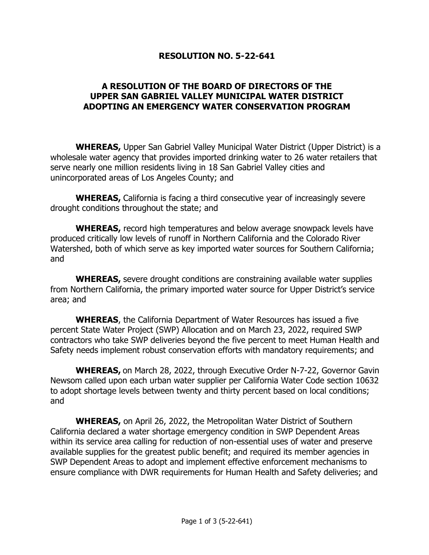## **RESOLUTION NO. 5-22-641**

## **A RESOLUTION OF THE BOARD OF DIRECTORS OF THE UPPER SAN GABRIEL VALLEY MUNICIPAL WATER DISTRICT ADOPTING AN EMERGENCY WATER CONSERVATION PROGRAM**

**WHEREAS,** Upper San Gabriel Valley Municipal Water District (Upper District) is a wholesale water agency that provides imported drinking water to 26 water retailers that serve nearly one million residents living in 18 San Gabriel Valley cities and unincorporated areas of Los Angeles County; and

**WHEREAS,** California is facing a third consecutive year of increasingly severe drought conditions throughout the state; and

**WHEREAS,** record high temperatures and below average snowpack levels have produced critically low levels of runoff in Northern California and the Colorado River Watershed, both of which serve as key imported water sources for Southern California; and

**WHEREAS,** severe drought conditions are constraining available water supplies from Northern California, the primary imported water source for Upper District's service area; and

**WHEREAS**, the California Department of Water Resources has issued a five percent State Water Project (SWP) Allocation and on March 23, 2022, required SWP contractors who take SWP deliveries beyond the five percent to meet Human Health and Safety needs implement robust conservation efforts with mandatory requirements; and

**WHEREAS,** on March 28, 2022, through Executive Order N-7-22, Governor Gavin Newsom called upon each urban water supplier per California Water Code section 10632 to adopt shortage levels between twenty and thirty percent based on local conditions; and

**WHEREAS,** on April 26, 2022, the Metropolitan Water District of Southern California declared a water shortage emergency condition in SWP Dependent Areas within its service area calling for reduction of non-essential uses of water and preserve available supplies for the greatest public benefit; and required its member agencies in SWP Dependent Areas to adopt and implement effective enforcement mechanisms to ensure compliance with DWR requirements for Human Health and Safety deliveries; and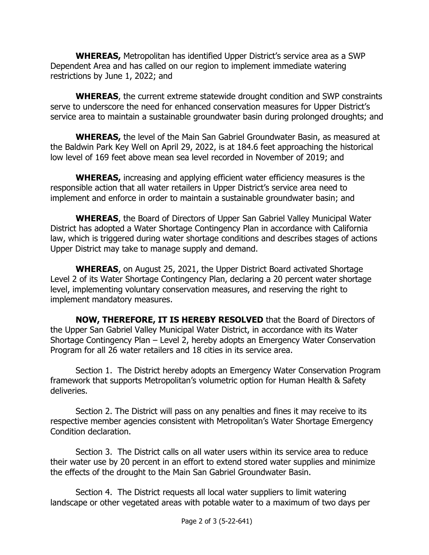**WHEREAS,** Metropolitan has identified Upper District's service area as a SWP Dependent Area and has called on our region to implement immediate watering restrictions by June 1, 2022; and

**WHEREAS**, the current extreme statewide drought condition and SWP constraints serve to underscore the need for enhanced conservation measures for Upper District's service area to maintain a sustainable groundwater basin during prolonged droughts; and

**WHEREAS,** the level of the Main San Gabriel Groundwater Basin, as measured at the Baldwin Park Key Well on April 29, 2022, is at 184.6 feet approaching the historical low level of 169 feet above mean sea level recorded in November of 2019; and

**WHEREAS,** increasing and applying efficient water efficiency measures is the responsible action that all water retailers in Upper District's service area need to implement and enforce in order to maintain a sustainable groundwater basin; and

**WHEREAS**, the Board of Directors of Upper San Gabriel Valley Municipal Water District has adopted a Water Shortage Contingency Plan in accordance with California law, which is triggered during water shortage conditions and describes stages of actions Upper District may take to manage supply and demand.

**WHEREAS**, on August 25, 2021, the Upper District Board activated Shortage Level 2 of its Water Shortage Contingency Plan, declaring a 20 percent water shortage level, implementing voluntary conservation measures, and reserving the right to implement mandatory measures.

**NOW, THEREFORE, IT IS HEREBY RESOLVED** that the Board of Directors of the Upper San Gabriel Valley Municipal Water District, in accordance with its Water Shortage Contingency Plan – Level 2, hereby adopts an Emergency Water Conservation Program for all 26 water retailers and 18 cities in its service area.

Section 1. The District hereby adopts an Emergency Water Conservation Program framework that supports Metropolitan's volumetric option for Human Health & Safety deliveries.

Section 2. The District will pass on any penalties and fines it may receive to its respective member agencies consistent with Metropolitan's Water Shortage Emergency Condition declaration.

Section 3. The District calls on all water users within its service area to reduce their water use by 20 percent in an effort to extend stored water supplies and minimize the effects of the drought to the Main San Gabriel Groundwater Basin.

Section 4. The District requests all local water suppliers to limit watering landscape or other vegetated areas with potable water to a maximum of two days per